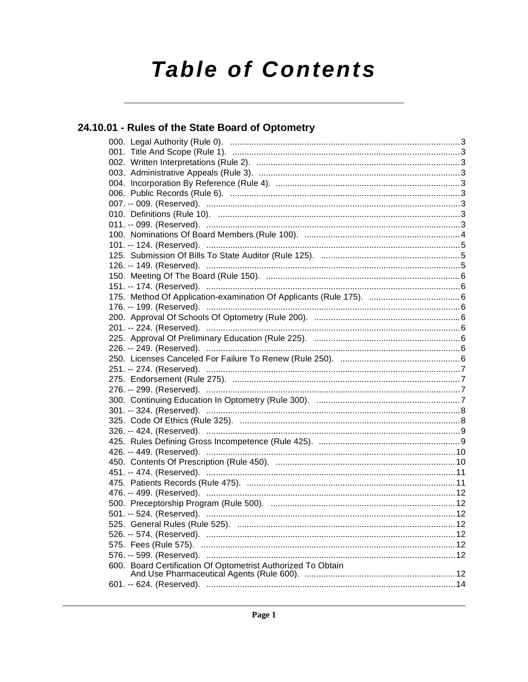# **Table of Contents**

# 24.10.01 - Rules of the State Board of Optometry

| 600. Board Certification Of Optometrist Authorized To Obtain |  |
|--------------------------------------------------------------|--|
|                                                              |  |
|                                                              |  |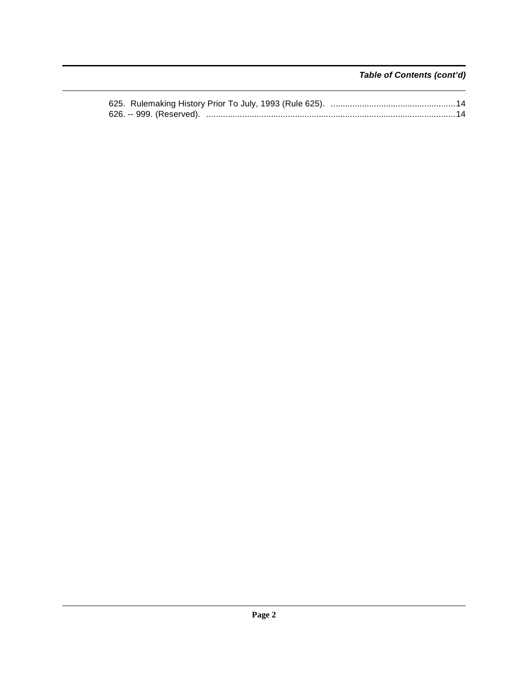**Table of Contents (cont'd)**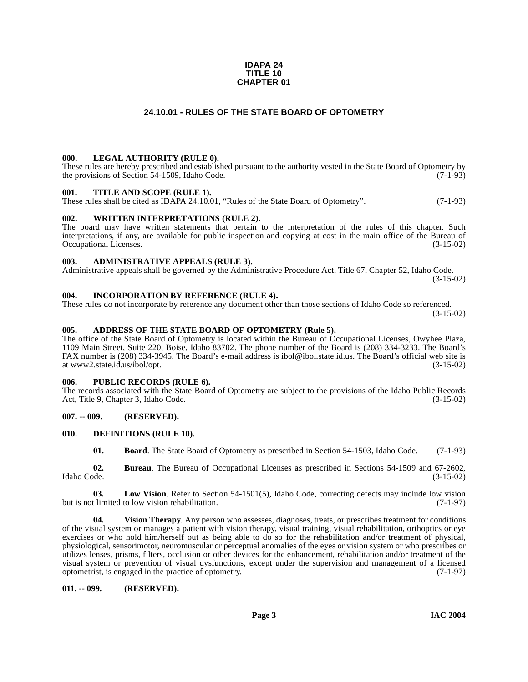#### **IDAPA 24 TITLE 10 CHAPTER 01**

# **24.10.01 - RULES OF THE STATE BOARD OF OPTOMETRY**

#### <span id="page-2-1"></span><span id="page-2-0"></span>**000. LEGAL AUTHORITY (RULE 0).**

These rules are hereby prescribed and established pursuant to the authority vested in the State Board of Optometry by the provisions of Section 54-1509. Idaho Code. (7-1-93) the provisions of Section 54-1509, Idaho Code.

#### <span id="page-2-2"></span>**001. TITLE AND SCOPE (RULE 1).**

These rules shall be cited as IDAPA 24.10.01, "Rules of the State Board of Optometry". (7-1-93)

#### <span id="page-2-3"></span>**002. WRITTEN INTERPRETATIONS (RULE 2).**

The board may have written statements that pertain to the interpretation of the rules of this chapter. Such interpretations, if any, are available for public inspection and copying at cost in the main office of the Bureau of Occupational Licenses. Occupational Licenses.

#### <span id="page-2-4"></span>**003. ADMINISTRATIVE APPEALS (RULE 3).**

Administrative appeals shall be governed by the Administrative Procedure Act, Title 67, Chapter 52, Idaho Code. (3-15-02)

#### <span id="page-2-5"></span>**004. INCORPORATION BY REFERENCE (RULE 4).**

These rules do not incorporate by reference any document other than those sections of Idaho Code so referenced. (3-15-02)

#### **005. ADDRESS OF THE STATE BOARD OF OPTOMETRY (Rule 5).**

[The office of the State Board of Optometry is located within the Bureau of Occupational Licenses, Owyhee Plaza,](http://www2.state.id.us/ibol/opt) 1109 Main Street, Suite 220, Boise, Idaho 83702. The phone number of the Board is (208) 334-3233. The Board's FAX number is (208) 334-3945. The Board's e-mail address is ibol@ibol.state.id.us. The Board's official web site is at www2.state.id.us/ibol/opt.

#### <span id="page-2-6"></span>**006. PUBLIC RECORDS (RULE 6).**

The records associated with the State Board of Optometry are subject to the provisions of the Idaho Public Records<br>Act, Title 9, Chapter 3, Idaho Code. (3-15-02) Act, Title 9, Chapter 3, Idaho Code.

#### <span id="page-2-7"></span>**007. -- 009. (RESERVED).**

#### <span id="page-2-8"></span>**010. DEFINITIONS (RULE 10).**

<span id="page-2-12"></span><span id="page-2-11"></span><span id="page-2-10"></span>**01. Board**. The State Board of Optometry as prescribed in Section 54-1503, Idaho Code. (7-1-93)

**02. Bureau**. The Bureau of Occupational Licenses as prescribed in Sections 54-1509 and 67-2602, Idaho Code. (3-15-02)

**03.** Low Vision. Refer to Section 54-1501(5), Idaho Code, correcting defects may include low vision thinited to low vision rehabilitation. (7-1-97) but is not limited to low vision rehabilitation.

<span id="page-2-13"></span>**04. Vision Therapy**. Any person who assesses, diagnoses, treats, or prescribes treatment for conditions of the visual system or manages a patient with vision therapy, visual training, visual rehabilitation, orthoptics or eye exercises or who hold him/herself out as being able to do so for the rehabilitation and/or treatment of physical, physiological, sensorimotor, neuromuscular or perceptual anomalies of the eyes or vision system or who prescribes or utilizes lenses, prisms, filters, occlusion or other devices for the enhancement, rehabilitation and/or treatment of the visual system or prevention of visual dysfunctions, except under the supervision and management of a licensed optometrist. is engaged in the practice of optometry. (7-1-97) optometrist, is engaged in the practice of optometry.

#### <span id="page-2-9"></span>**011. -- 099. (RESERVED).**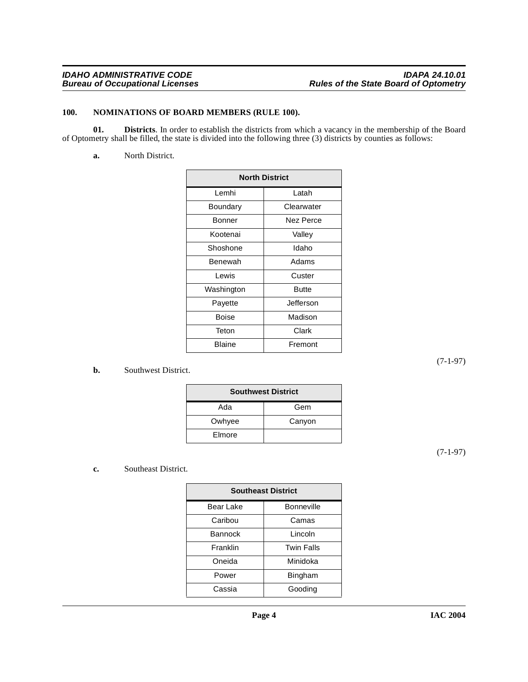# <span id="page-3-2"></span><span id="page-3-0"></span>**100. NOMINATIONS OF BOARD MEMBERS (RULE 100).**

**01. Districts**. In order to establish the districts from which a vacancy in the membership of the Board of Optometry shall be filled, the state is divided into the following three (3) districts by counties as follows:

<span id="page-3-1"></span>**a.** North District.

| <b>North District</b> |              |
|-----------------------|--------------|
| Lemhi                 | Latah        |
| Boundary              | Clearwater   |
| Bonner                | Nez Perce    |
| Kootenai              | Valley       |
| Shoshone              | Idaho        |
| Benewah               | Adams        |
| I ewis                | Custer       |
| Washington            | <b>Butte</b> |
| Payette               | Jefferson    |
| Boise                 | Madison      |
| Teton                 | Clark        |
| Blaine                | Fremont      |

# **b.** Southwest District.

| <b>Southwest District</b> |        |
|---------------------------|--------|
| Ada                       | Gem    |
| Owhyee                    | Canyon |
| Elmore                    |        |

(7-1-97)

(7-1-97)

# **c.** Southeast District.

| <b>Southeast District</b> |                   |  |
|---------------------------|-------------------|--|
| Bear Lake                 | <b>Bonneville</b> |  |
| Caribou                   | Camas             |  |
| Bannock                   | Lincoln           |  |
| Franklin                  | <b>Twin Falls</b> |  |
| Oneida                    | Minidoka          |  |
| Power                     | Bingham           |  |
| Cassia                    | Gooding           |  |
|                           |                   |  |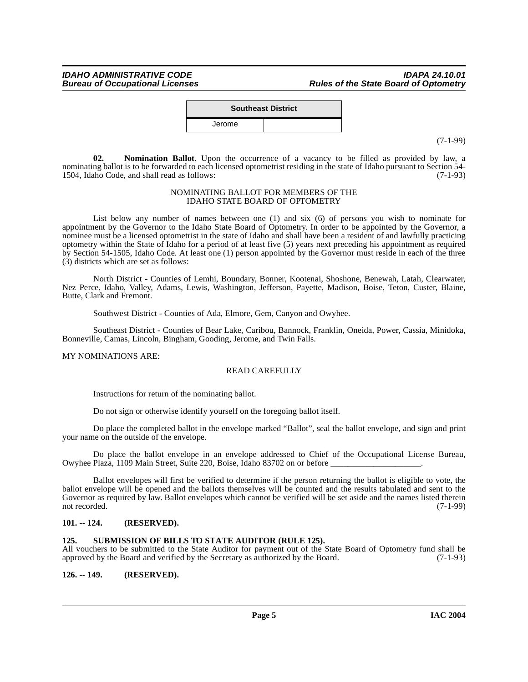|        | <b>Southeast District</b> |
|--------|---------------------------|
| Jerome |                           |
|        |                           |

(7-1-99)

<span id="page-4-3"></span>**02. Nomination Ballot**. Upon the occurrence of a vacancy to be filled as provided by law, a nominating ballot is to be forwarded to each licensed optometrist residing in the state of Idaho pursuant to Section 54-<br>1504. Idaho Code, and shall read as follows: 1504, Idaho Code, and shall read as follows:

#### NOMINATING BALLOT FOR MEMBERS OF THE IDAHO STATE BOARD OF OPTOMETRY

List below any number of names between one (1) and six (6) of persons you wish to nominate for appointment by the Governor to the Idaho State Board of Optometry. In order to be appointed by the Governor, a nominee must be a licensed optometrist in the state of Idaho and shall have been a resident of and lawfully practicing optometry within the State of Idaho for a period of at least five (5) years next preceding his appointment as required by Section 54-1505, Idaho Code. At least one (1) person appointed by the Governor must reside in each of the three (3) districts which are set as follows:

North District - Counties of Lemhi, Boundary, Bonner, Kootenai, Shoshone, Benewah, Latah, Clearwater, Nez Perce, Idaho, Valley, Adams, Lewis, Washington, Jefferson, Payette, Madison, Boise, Teton, Custer, Blaine, Butte, Clark and Fremont.

Southwest District - Counties of Ada, Elmore, Gem, Canyon and Owyhee.

Southeast District - Counties of Bear Lake, Caribou, Bannock, Franklin, Oneida, Power, Cassia, Minidoka, Bonneville, Camas, Lincoln, Bingham, Gooding, Jerome, and Twin Falls.

MY NOMINATIONS ARE:

# READ CAREFULLY

Instructions for return of the nominating ballot.

Do not sign or otherwise identify yourself on the foregoing ballot itself.

Do place the completed ballot in the envelope marked "Ballot", seal the ballot envelope, and sign and print your name on the outside of the envelope.

Do place the ballot envelope in an envelope addressed to Chief of the Occupational License Bureau, Owyhee Plaza, 1109 Main Street, Suite 220, Boise, Idaho 83702 on or before

Ballot envelopes will first be verified to determine if the person returning the ballot is eligible to vote, the ballot envelope will be opened and the ballots themselves will be counted and the results tabulated and sent to the Governor as required by law. Ballot envelopes which cannot be verified will be set aside and the names listed therein not recorded. (7-1-99) not recorded. (7-1-99)

# <span id="page-4-0"></span>**101. -- 124. (RESERVED).**

# <span id="page-4-4"></span><span id="page-4-1"></span>**125. SUBMISSION OF BILLS TO STATE AUDITOR (RULE 125).**

All vouchers to be submitted to the State Auditor for payment out of the State Board of Optometry fund shall be approved by the Board and verified by the Secretary as authorized by the Board. (7-1-93) approved by the Board and verified by the Secretary as authorized by the Board.

<span id="page-4-2"></span>**126. -- 149. (RESERVED).**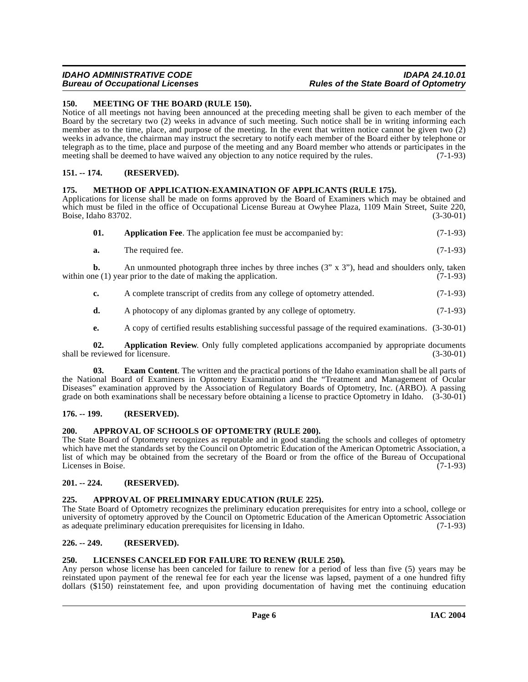# **IDAHO ADMINISTRATIVE CODE IDAPA 24.10.01 Rules of the State Board of Optometry**

### <span id="page-5-15"></span><span id="page-5-0"></span>**150. MEETING OF THE BOARD (RULE 150).**

Notice of all meetings not having been announced at the preceding meeting shall be given to each member of the Board by the secretary two (2) weeks in advance of such meeting. Such notice shall be in writing informing each member as to the time, place, and purpose of the meeting. In the event that written notice cannot be given two (2) weeks in advance, the chairman may instruct the secretary to notify each member of the Board either by telephone or telegraph as to the time, place and purpose of the meeting and any Board member who attends or participates in the meeting shall be deemed to have waived any objection to any notice required by the rules. (7-1-93)

### <span id="page-5-16"></span><span id="page-5-1"></span>**151. -- 174. (RESERVED).**

#### <span id="page-5-2"></span>**175. METHOD OF APPLICATION-EXAMINATION OF APPLICANTS (RULE 175).**

Applications for license shall be made on forms approved by the Board of Examiners which may be obtained and which must be filed in the office of Occupational License Bureau at Owyhee Plaza, 1109 Main Street, Suite 220, Boise, Idaho 83702. (3-30-01)

<span id="page-5-9"></span>

| 01. |  |  | <b>Application Fee.</b> The application fee must be accompanied by: | $(7-1-93)$ |
|-----|--|--|---------------------------------------------------------------------|------------|
|-----|--|--|---------------------------------------------------------------------|------------|

**a.** The required fee. (7-1-93)

**b.** An unmounted photograph three inches by three inches (3" x 3"), head and shoulders only, taken within one  $(1)$  year prior to the date of making the application.  $(7-1-93)$ 

- **c.** A complete transcript of credits from any college of optometry attended.  $(7-1-93)$
- **d.** A photocopy of any diplomas granted by any college of optometry. (7-1-93)
- <span id="page-5-13"></span><span id="page-5-10"></span>**e.** A copy of certified results establishing successful passage of the required examinations. (3-30-01)

**02. Application Review**. Only fully completed applications accompanied by appropriate documents reviewed for licensure. (3-30-01) shall be reviewed for licensure.

**03. Exam Content**. The written and the practical portions of the Idaho examination shall be all parts of the National Board of Examiners in Optometry Examination and the "Treatment and Management of Ocular Diseases" examination approved by the Association of Regulatory Boards of Optometry, Inc. (ARBO). A passing grade on both examinations shall be necessary before obtaining a license to practice Optometry in Idaho. (3-30-01)

#### <span id="page-5-3"></span>**176. -- 199. (RESERVED).**

# <span id="page-5-12"></span><span id="page-5-4"></span>**200. APPROVAL OF SCHOOLS OF OPTOMETRY (RULE 200).**

The State Board of Optometry recognizes as reputable and in good standing the schools and colleges of optometry which have met the standards set by the Council on Optometric Education of the American Optometric Association, a list of which may be obtained from the secretary of the Board or from the office of the Bureau of Occupational Licenses in Boise. (7-1-93)

# <span id="page-5-5"></span>**201. -- 224. (RESERVED).**

# <span id="page-5-11"></span><span id="page-5-6"></span>**225. APPROVAL OF PRELIMINARY EDUCATION (RULE 225).**

The State Board of Optometry recognizes the preliminary education prerequisites for entry into a school, college or university of optometry approved by the Council on Optometric Education of the American Optometric Association as adequate preliminary education prerequisites for licensing in Idaho. (7-1-93) as adequate preliminary education prerequisites for licensing in Idaho.

# <span id="page-5-7"></span>**226. -- 249. (RESERVED).**

### <span id="page-5-14"></span><span id="page-5-8"></span>**250. LICENSES CANCELED FOR FAILURE TO RENEW (RULE 250).**

Any person whose license has been canceled for failure to renew for a period of less than five (5) years may be reinstated upon payment of the renewal fee for each year the license was lapsed, payment of a one hundred fifty dollars (\$150) reinstatement fee, and upon providing documentation of having met the continuing education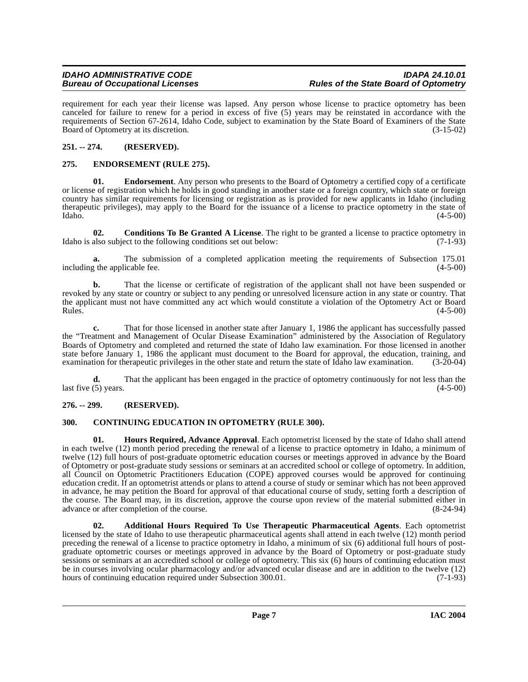requirement for each year their license was lapsed. Any person whose license to practice optometry has been canceled for failure to renew for a period in excess of five (5) years may be reinstated in accordance with the requirements of Section 67-2614, Idaho Code, subject to examination by the State Board of Examiners of the State Board of Optometry at its discretion. (3-15-02)

# <span id="page-6-0"></span>**251. -- 274. (RESERVED).**

# <span id="page-6-7"></span><span id="page-6-1"></span>**275. ENDORSEMENT (RULE 275).**

**01. Endorsement**. Any person who presents to the Board of Optometry a certified copy of a certificate or license of registration which he holds in good standing in another state or a foreign country, which state or foreign country has similar requirements for licensing or registration as is provided for new applicants in Idaho (including therapeutic privileges), may apply to the Board for the issuance of a license to practice optometry in the state of Idaho. (4-5-00)

<span id="page-6-5"></span>**02. Conditions To Be Granted A License**. The right to be granted a license to practice optometry in also subject to the following conditions set out below: (7-1-93) Idaho is also subject to the following conditions set out below:

**a.** The submission of a completed application meeting the requirements of Subsection 175.01 including the applicable fee. (4-5-00)

**b.** That the license or certificate of registration of the applicant shall not have been suspended or revoked by any state or country or subject to any pending or unresolved licensure action in any state or country. That the applicant must not have committed any act which would constitute a violation of the Optometry Act or Board  $Rules.$  (4-5-00)

**c.** That for those licensed in another state after January 1, 1986 the applicant has successfully passed the "Treatment and Management of Ocular Disease Examination" administered by the Association of Regulatory Boards of Optometry and completed and returned the state of Idaho law examination. For those licensed in another state before January 1, 1986 the applicant must document to the Board for approval, the education, training, and examination for therapeutic privileges in the other state and return the state of Idaho law examination. (3-20-04)

**d.** That the applicant has been engaged in the practice of optometry continuously for not less than the last five  $(5)$  years. (4-5-00)

# <span id="page-6-2"></span>**276. -- 299. (RESERVED).**

# <span id="page-6-6"></span><span id="page-6-3"></span>**300. CONTINUING EDUCATION IN OPTOMETRY (RULE 300).**

<span id="page-6-8"></span>**01. Hours Required, Advance Approval**. Each optometrist licensed by the state of Idaho shall attend in each twelve (12) month period preceding the renewal of a license to practice optometry in Idaho, a minimum of twelve (12) full hours of post-graduate optometric education courses or meetings approved in advance by the Board of Optometry or post-graduate study sessions or seminars at an accredited school or college of optometry. In addition, all Council on Optometric Practitioners Education (COPE) approved courses would be approved for continuing education credit. If an optometrist attends or plans to attend a course of study or seminar which has not been approved in advance, he may petition the Board for approval of that educational course of study, setting forth a description of the course. The Board may, in its discretion, approve the course upon review of the material submitted either in advance or after completion of the course. (8-24-94)

<span id="page-6-4"></span>**02. Additional Hours Required To Use Therapeutic Pharmaceutical Agents**. Each optometrist licensed by the state of Idaho to use therapeutic pharmaceutical agents shall attend in each twelve (12) month period preceding the renewal of a license to practice optometry in Idaho, a minimum of six (6) additional full hours of postgraduate optometric courses or meetings approved in advance by the Board of Optometry or post-graduate study sessions or seminars at an accredited school or college of optometry. This six (6) hours of continuing education must be in courses involving ocular pharmacology and/or advanced ocular disease and are in addition to the twelve (12) hours of continuing education required under Subsection 300.01. (7-1-93) hours of continuing education required under Subsection 300.01.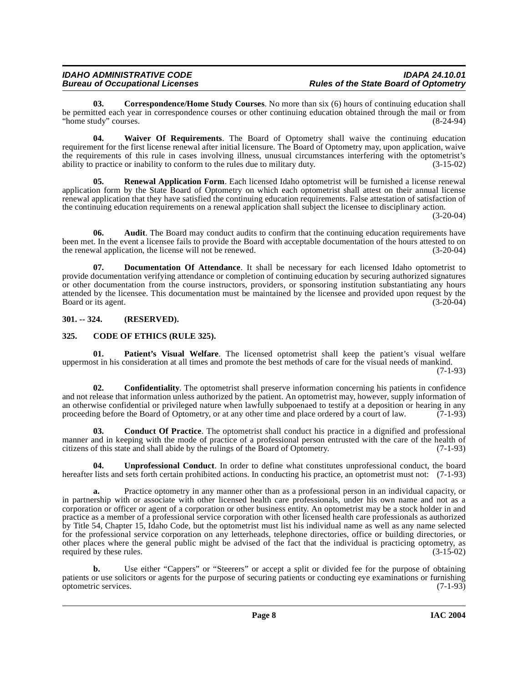<span id="page-7-5"></span>**03. Correspondence/Home Study Courses**. No more than six (6) hours of continuing education shall be permitted each year in correspondence courses or other continuing education obtained through the mail or from "home study" courses. "home study" courses.

<span id="page-7-10"></span>**04. Waiver Of Requirements**. The Board of Optometry shall waive the continuing education requirement for the first license renewal after initial licensure. The Board of Optometry may, upon application, waive the requirements of this rule in cases involving illness, unusual circumstances interfering with the optometrist's ability to practice or inability to conform to the rules due to military duty.  $(3-15-02)$ ability to practice or inability to conform to the rules due to military duty.

<span id="page-7-8"></span>**Renewal Application Form.** Each licensed Idaho optometrist will be furnished a license renewal application form by the State Board of Optometry on which each optometrist shall attest on their annual license renewal application that they have satisfied the continuing education requirements. False attestation of satisfaction of the continuing education requirements on a renewal application shall subject the licensee to disciplinary action.

 $(3-20-04)$ 

**06.** Audit. The Board may conduct audits to confirm that the continuing education requirements have been met. In the event a licensee fails to provide the Board with acceptable documentation of the hours attested to on the renewal application, the license will not be renewed. (3-20-04) the renewal application, the license will not be renewed.

<span id="page-7-6"></span>**Documentation Of Attendance**. It shall be necessary for each licensed Idaho optometrist to provide documentation verifying attendance or completion of continuing education by securing authorized signatures or other documentation from the course instructors, providers, or sponsoring institution substantiating any hours attended by the licensee. This documentation must be maintained by the licensee and provided upon request by the Board or its agent. (3-20-04) Board or its agent.

# <span id="page-7-0"></span>**301. -- 324. (RESERVED).**

# <span id="page-7-2"></span><span id="page-7-1"></span>**325. CODE OF ETHICS (RULE 325).**

<span id="page-7-7"></span>**01. Patient's Visual Welfare**. The licensed optometrist shall keep the patient's visual welfare uppermost in his consideration at all times and promote the best methods of care for the visual needs of mankind.

(7-1-93)

<span id="page-7-4"></span>**02. Confidentiality**. The optometrist shall preserve information concerning his patients in confidence and not release that information unless authorized by the patient. An optometrist may, however, supply information of an otherwise confidential or privileged nature when lawfully subpoenaed to testify at a deposition or hearing in any proceeding before the Board of Optometry, or at any other time and place ordered by a court of law.  $(7-1-93)$ 

<span id="page-7-3"></span>**03. Conduct Of Practice**. The optometrist shall conduct his practice in a dignified and professional manner and in keeping with the mode of practice of a professional person entrusted with the care of the health of citizens of this state and shall abide by the rulings of the Board of Optometry. (7-1-93) citizens of this state and shall abide by the rulings of the Board of Optometry.

<span id="page-7-9"></span>**04. Unprofessional Conduct**. In order to define what constitutes unprofessional conduct, the board hereafter lists and sets forth certain prohibited actions. In conducting his practice, an optometrist must not: (7-1-93)

**a.** Practice optometry in any manner other than as a professional person in an individual capacity, or in partnership with or associate with other licensed health care professionals, under his own name and not as a corporation or officer or agent of a corporation or other business entity. An optometrist may be a stock holder in and practice as a member of a professional service corporation with other licensed health care professionals as authorized by Title 54, Chapter 15, Idaho Code, but the optometrist must list his individual name as well as any name selected for the professional service corporation on any letterheads, telephone directories, office or building directories, or other places where the general public might be advised of the fact that the individual is practicing optometry, as required by these rules. (3-15-02)

**b.** Use either "Cappers" or "Steerers" or accept a split or divided fee for the purpose of obtaining patients or use solicitors or agents for the purpose of securing patients or conducting eye examinations or furnishing optometric services. (7-1-93) optometric services.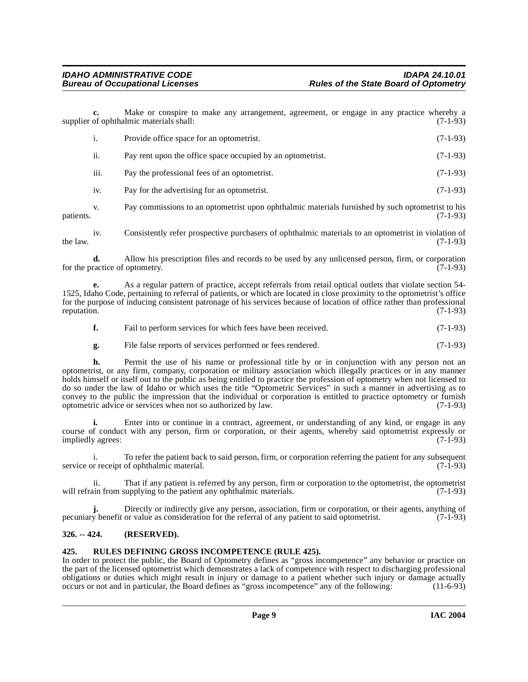**c.** Make or conspire to make any arrangement, agreement, or engage in any practice whereby a of ophthalmic materials shall: (7-1-93) supplier of ophthalmic materials shall:

| 1.   | Provide office space for an optometrist.                   | $(7-1-93)$ |
|------|------------------------------------------------------------|------------|
| ii.  | Pay rent upon the office space occupied by an optometrist. | $(7-1-93)$ |
| iii. | Pay the professional fees of an optometrist.               | $(7-1-93)$ |
| iv.  | Pay for the advertising for an optometrist.                | $(7-1-93)$ |
|      |                                                            |            |

v. Pay commissions to an optometrist upon ophthalmic materials furnished by such optometrist to his patients. (7-1-93)

iv. Consistently refer prospective purchasers of ophthalmic materials to an optometrist in violation of the law.  $(7-1-93)$ 

**d.** Allow his prescription files and records to be used by any unlicensed person, firm, or corporation for the practice of optometry. (7-1-93)

**e.** As a regular pattern of practice, accept referrals from retail optical outlets that violate section 54- 1525, Idaho Code, pertaining to referral of patients, or which are located in close proximity to the optometrist's office for the purpose of inducing consistent patronage of his services because of location of office rather than professional reputation. (7-1-93)

|  | Fail to perform services for which fees have been received. | $(7-1-93)$ |
|--|-------------------------------------------------------------|------------|
|--|-------------------------------------------------------------|------------|

**g.** File false reports of services performed or fees rendered. (7-1-93)

**h.** Permit the use of his name or professional title by or in conjunction with any person not an optometrist, or any firm, company, corporation or military association which illegally practices or in any manner holds himself or itself out to the public as being entitled to practice the profession of optometry when not licensed to do so under the law of Idaho or which uses the title "Optometric Services" in such a manner in advertising as to convey to the public the impression that the individual or corporation is entitled to practice optometry or furnish optometric advice or services when not so authorized by law. (7-1-93)

**i.** Enter into or continue in a contract, agreement, or understanding of any kind, or engage in any course of conduct with any person, firm or corporation, or their agents, whereby said optometrist expressly or impliedly agrees: (7-1-93) impliedly agrees:

i. To refer the patient back to said person, firm, or corporation referring the patient for any subsequent service or receipt of ophthalmic material. (7-1-93)

ii. That if any patient is referred by any person, firm or corporation to the optometrist, the optometrist will refrain from supplying to the patient any ophthalmic materials.

**j.** Directly or indirectly give any person, association, firm or corporation, or their agents, anything of pecuniary benefit or value as consideration for the referral of any patient to said optometrist. (7-1-93)

# <span id="page-8-0"></span>**326. -- 424. (RESERVED).**

#### <span id="page-8-2"></span><span id="page-8-1"></span>**425. RULES DEFINING GROSS INCOMPETENCE (RULE 425).**

In order to protect the public, the Board of Optometry defines as "gross incompetence" any behavior or practice on the part of the licensed optometrist which demonstrates a lack of competence with respect to discharging professional obligations or duties which might result in injury or damage to a patient whether such injury or damage actually occurs or not and in particular, the Board defines as "gross incompetence" any of the following: (11-6-93) occurs or not and in particular, the Board defines as "gross incompetence" any of the following: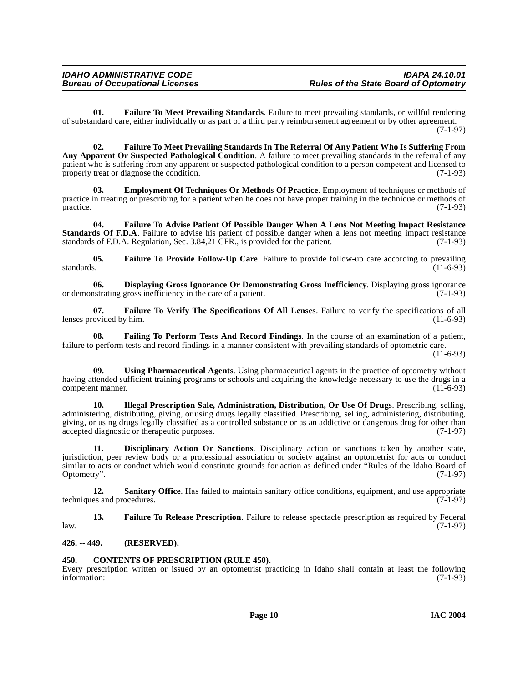<span id="page-9-9"></span>**01. Failure To Meet Prevailing Standards**. Failure to meet prevailing standards, or willful rendering of substandard care, either individually or as part of a third party reimbursement agreement or by other agreement. (7-1-97)

<span id="page-9-8"></span>**02. Failure To Meet Prevailing Standards In The Referral Of Any Patient Who Is Suffering From Any Apparent Or Suspected Pathological Condition**. A failure to meet prevailing standards in the referral of any patient who is suffering from any apparent or suspected pathological condition to a person competent and licensed to properly treat or diagnose the condition. (7-1-93) properly treat or diagnose the condition.

<span id="page-9-5"></span>**03. Employment Of Techniques Or Methods Of Practice**. Employment of techniques or methods of practice in treating or prescribing for a patient when he does not have proper training in the technique or methods of practice. (7-1-93) practice. (7-1-93)

<span id="page-9-7"></span>**04. Failure To Advise Patient Of Possible Danger When A Lens Not Meeting Impact Resistance Standards Of F.D.A**. Failure to advise his patient of possible danger when a lens not meeting impact resistance standards of F.D.A. Regulation, Sec. 3.84,21 CFR., is provided for the patient. (7-1-93) standards of F.D.A. Regulation, Sec. 3.84,21 CFR., is provided for the patient.

<span id="page-9-10"></span>**05. Failure To Provide Follow-Up Care**. Failure to provide follow-up care according to prevailing standards.  $(11-6-93)$ 

<span id="page-9-4"></span>**06.** Displaying Gross Ignorance Or Demonstrating Gross Inefficiency. Displaying gross ignorance nstrating gross inefficiency in the care of a patient. (7-1-93) or demonstrating gross inefficiency in the care of a patient.

<span id="page-9-12"></span>**07. Failure To Verify The Specifications Of All Lenses**. Failure to verify the specifications of all lenses provided by him.

<span id="page-9-6"></span>**08. Failing To Perform Tests And Record Findings**. In the course of an examination of a patient, failure to perform tests and record findings in a manner consistent with prevailing standards of optometric care.

 $(11-6-93)$ 

<span id="page-9-15"></span>**09. Using Pharmaceutical Agents**. Using pharmaceutical agents in the practice of optometry without having attended sufficient training programs or schools and acquiring the knowledge necessary to use the drugs in a competent manner. (11-6-93)

<span id="page-9-13"></span>**10. Illegal Prescription Sale, Administration, Distribution, Or Use Of Drugs**. Prescribing, selling, administering, distributing, giving, or using drugs legally classified. Prescribing, selling, administering, distributing, giving, or using drugs legally classified as a controlled substance or as an addictive or dangerous drug for other than accepted diagnostic or therapeutic purposes. (7-1-97)

<span id="page-9-3"></span>**11. Disciplinary Action Or Sanctions**. Disciplinary action or sanctions taken by another state, jurisdiction, peer review body or a professional association or society against an optometrist for acts or conduct similar to acts or conduct which would constitute grounds for action as defined under "Rules of the Idaho Board of Optometry". (7-1-97)

<span id="page-9-14"></span>**12.** Sanitary Office. Has failed to maintain sanitary office conditions, equipment, and use appropriate techniques and procedures. (7-1-97)

<span id="page-9-11"></span>**13. Failure To Release Prescription**. Failure to release spectacle prescription as required by Federal (7-1-97)  $l$ aw.  $(7-1-97)$ 

# <span id="page-9-0"></span>**426. -- 449. (RESERVED).**

# <span id="page-9-2"></span><span id="page-9-1"></span>**450. CONTENTS OF PRESCRIPTION (RULE 450).**

Every prescription written or issued by an optometrist practicing in Idaho shall contain at least the following information: (7-1-93)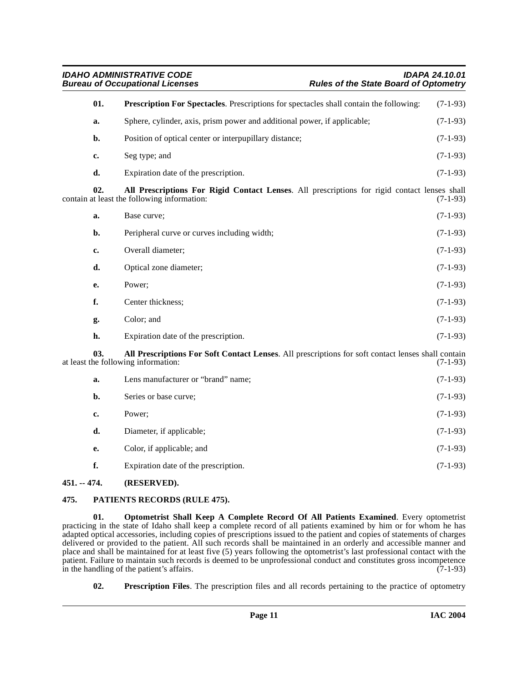<span id="page-10-7"></span><span id="page-10-2"></span>**IDAHO ADMINISTRATIVE CODE IDAPA 24.10.01 Rules of the State Board of Optometry 01. Prescription For Spectacles**. Prescriptions for spectacles shall contain the following: (7-1-93) **a.** Sphere, cylinder, axis, prism power and additional power, if applicable; (7-1-93) **b.** Position of optical center or interpupillary distance; (7-1-93) **c.** Seg type; and (7-1-93) **d.** Expiration date of the prescription. (7-1-93) **02. All Prescriptions For Rigid Contact Lenses**. All prescriptions for rigid contact lenses shall contain at least the following information: **a.** Base curve; (7-1-93) **b.** Peripheral curve or curves including width; (7-1-93) **c.** Overall diameter; (7-1-93) **d.** Optical zone diameter; (7-1-93) **e.** Power; (7-1-93) **f.** Center thickness; (7-1-93) **g.** Color; and (7-1-93) **h.** Expiration date of the prescription. (7-1-93) **03. All Prescriptions For Soft Contact Lenses**. All prescriptions for soft contact lenses shall contain at least the following information: (7-1-93) **a.** Lens manufacturer or "brand" name; (7-1-93) **b.** Series or base curve; (7-1-93) **c.** Power; (7-1-93)

<span id="page-10-3"></span>**d.** Diameter, if applicable; (7-1-93) **e.** Color, if applicable; and (7-1-93) **f.** Expiration date of the prescription. (7-1-93)

# <span id="page-10-0"></span>**451. -- 474. (RESERVED).**

# <span id="page-10-5"></span><span id="page-10-1"></span>**475. PATIENTS RECORDS (RULE 475).**

<span id="page-10-4"></span>**01. Optometrist Shall Keep A Complete Record Of All Patients Examined**. Every optometrist practicing in the state of Idaho shall keep a complete record of all patients examined by him or for whom he has adapted optical accessories, including copies of prescriptions issued to the patient and copies of statements of charges delivered or provided to the patient. All such records shall be maintained in an orderly and accessible manner and place and shall be maintained for at least five (5) years following the optometrist's last professional contact with the patient. Failure to maintain such records is deemed to be unprofessional conduct and constitutes gross incompetence<br>in the handling of the patient's affairs. in the handling of the patient's affairs.

<span id="page-10-6"></span>**02. Prescription Files**. The prescription files and all records pertaining to the practice of optometry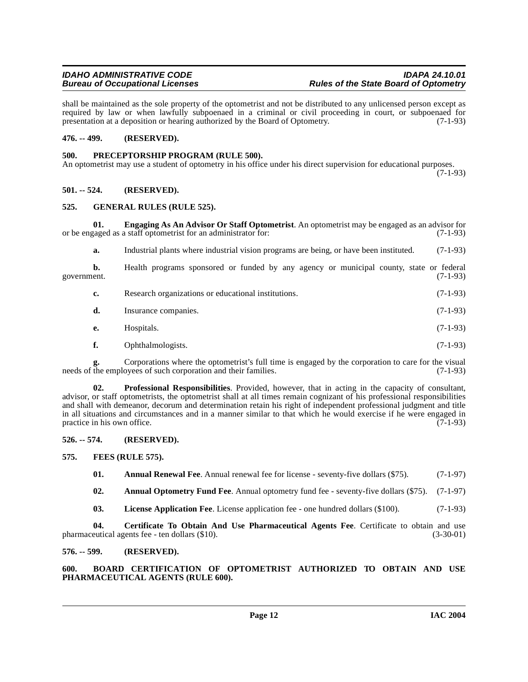shall be maintained as the sole property of the optometrist and not be distributed to any unlicensed person except as required by law or when lawfully subpoenaed in a criminal or civil proceeding in court, or subpoenaed for presentation at a deposition or hearing authorized by the Board of Optometry. (7-1-93) presentation at a deposition or hearing authorized by the Board of Optometry.

# <span id="page-11-0"></span>**476. -- 499. (RESERVED).**

# <span id="page-11-16"></span><span id="page-11-1"></span>**500. PRECEPTORSHIP PROGRAM (RULE 500).**

An optometrist may use a student of optometry in his office under his direct supervision for educational purposes. (7-1-93)

# <span id="page-11-2"></span>**501. -- 524. (RESERVED).**

# <span id="page-11-14"></span><span id="page-11-3"></span>**525. GENERAL RULES (RULE 525).**

**01. Engaging As An Advisor Or Staff Optometrist**. An optometrist may be engaged as an advisor for or be engaged as a staff optometrist for an administrator for: (7-1-93)

<span id="page-11-12"></span>**a.** Industrial plants where industrial vision programs are being, or have been instituted. (7-1-93)

**b.** Health programs sponsored or funded by any agency or municipal county, state or federal government. (7-1-93)

| Research organizations or educational institutions. | $(7-1-93)$ |
|-----------------------------------------------------|------------|
| Insurance companies.                                | $(7-1-93)$ |

- **e.** Hospitals. (7-1-93)
- <span id="page-11-17"></span>**f.** Ophthalmologists. (7-1-93)

**g.** Corporations where the optometrist's full time is engaged by the corporation to care for the visual the employees of such corporation and their families. (7-1-93) needs of the employees of such corporation and their families.

**02. Professional Responsibilities**. Provided, however, that in acting in the capacity of consultant, advisor, or staff optometrists, the optometrist shall at all times remain cognizant of his professional responsibilities and shall with demeanor, decorum and determination retain his right of independent professional judgment and title in all situations and circumstances and in a manner similar to that which he would exercise if he were engaged in practice in his own office. (7-1-93) practice in his own office.

<span id="page-11-4"></span>**526. -- 574. (RESERVED).**

# <span id="page-11-5"></span>**575. FEES (RULE 575).**

<span id="page-11-13"></span><span id="page-11-9"></span><span id="page-11-8"></span>**01.** Annual Renewal Fee. Annual renewal fee for license - seventy-five dollars (\$75). (7-1-97)

**02. Annual Optometry Fund Fee**. Annual optometry fund fee - seventy-five dollars (\$75). (7-1-97)

<span id="page-11-15"></span><span id="page-11-11"></span>**03. License Application Fee**. License application fee - one hundred dollars (\$100). (7-1-93)

**04.** Certificate To Obtain And Use Pharmaceutical Agents Fee. Certificate to obtain and use eutical agents fee - ten dollars (\$10). pharmaceutical agents fee - ten dollars (\$10).

# <span id="page-11-6"></span>**576. -- 599. (RESERVED).**

<span id="page-11-10"></span><span id="page-11-7"></span>**600. BOARD CERTIFICATION OF OPTOMETRIST AUTHORIZED TO OBTAIN AND USE PHARMACEUTICAL AGENTS (RULE 600).**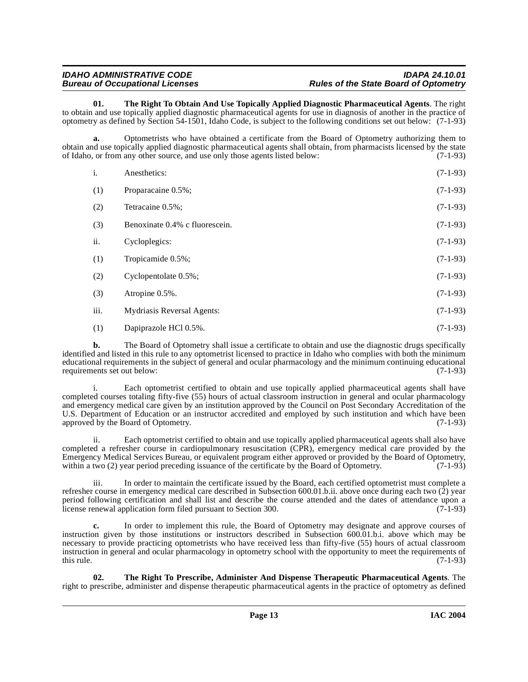<span id="page-12-0"></span>**01. The Right To Obtain And Use Topically Applied Diagnostic Pharmaceutical Agents**. The right to obtain and use topically applied diagnostic pharmaceutical agents for use in diagnosis of another in the practice of optometry as defined by Section 54-1501, Idaho Code, is subject to the following conditions set out below: (7-1-93)

**a.** Optometrists who have obtained a certificate from the Board of Optometry authorizing them to obtain and use topically applied diagnostic pharmaceutical agents shall obtain, from pharmacists licensed by the state<br>of Idaho, or from any other source, and use only those agents listed below: of Idaho, or from any other source, and use only those agents listed below:

| i.   | Anesthetics:                   | $(7-1-93)$ |
|------|--------------------------------|------------|
| (1)  | Proparacaine 0.5%;             | $(7-1-93)$ |
| (2)  | Tetracaine 0.5%;               | $(7-1-93)$ |
| (3)  | Benoxinate 0.4% c fluorescein. | $(7-1-93)$ |
| ii.  | Cycloplegics:                  | $(7-1-93)$ |
| (1)  | Tropicamide 0.5%;              | $(7-1-93)$ |
| (2)  | Cyclopentolate 0.5%;           | $(7-1-93)$ |
| (3)  | Atropine 0.5%.                 | $(7-1-93)$ |
| iii. | Mydriasis Reversal Agents:     | $(7-1-93)$ |
| (1)  | Dapiprazole HCl 0.5%.          | $(7-1-93)$ |

**b.** The Board of Optometry shall issue a certificate to obtain and use the diagnostic drugs specifically identified and listed in this rule to any optometrist licensed to practice in Idaho who complies with both the minimum educational requirements in the subject of general and ocular pharmacology and the minimum continuing educational requirements set out below: (7-1-93) requirements set out below:

i. Each optometrist certified to obtain and use topically applied pharmaceutical agents shall have completed courses totaling fifty-five (55) hours of actual classroom instruction in general and ocular pharmacology and emergency medical care given by an institution approved by the Council on Post Secondary Accreditation of the U.S. Department of Education or an instructor accredited and employed by such institution and which have been approved by the Board of Optometry. (7-1-93)

ii. Each optometrist certified to obtain and use topically applied pharmaceutical agents shall also have completed a refresher course in cardiopulmonary resuscitation (CPR), emergency medical care provided by the Emergency Medical Services Bureau, or equivalent program either approved or provided by the Board of Optometry, within a two (2) year period preceding issuance of the certificate by the Board of Optometry. (7-1-93)

iii. In order to maintain the certificate issued by the Board, each certified optometrist must complete a refresher course in emergency medical care described in Subsection 600.01.b.ii. above once during each two (2) year period following certification and shall list and describe the course attended and the dates of attendance upon a license renewal application form filed pursuant to Section 300. (7-1-93)

**c.** In order to implement this rule, the Board of Optometry may designate and approve courses of instruction given by those institutions or instructors described in Subsection 600.01.b.i. above which may be necessary to provide practicing optometrists who have received less than fifty-five (55) hours of actual classroom instruction in general and ocular pharmacology in optometry school with the opportunity to meet the requirements of this rule.  $(7-1-93)$ 

<span id="page-12-1"></span>**02. The Right To Prescribe, Administer And Dispense Therapeutic Pharmaceutical Agents**. The right to prescribe, administer and dispense therapeutic pharmaceutical agents in the practice of optometry as defined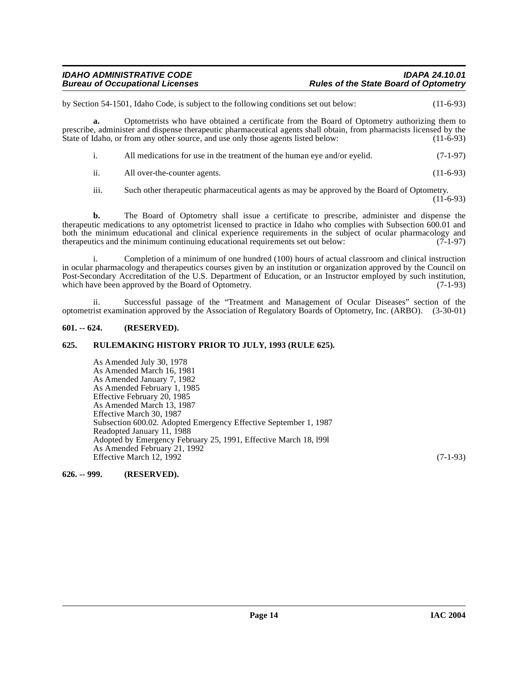by Section 54-1501, Idaho Code, is subject to the following conditions set out below: (11-6-93)

**a.** Optometrists who have obtained a certificate from the Board of Optometry authorizing them to prescribe, administer and dispense therapeutic pharmaceutical agents shall obtain, from pharmacists licensed by the State of Idaho, or from any other source, and use only those agents listed below: (11-6-93)

- i. All medications for use in the treatment of the human eye and/or eyelid. (7-1-97)
- ii. All over-the-counter agents. (11-6-93)

iii. Such other therapeutic pharmaceutical agents as may be approved by the Board of Optometry.  $(11-6-93)$ 

**b.** The Board of Optometry shall issue a certificate to prescribe, administer and dispense the therapeutic medications to any optometrist licensed to practice in Idaho who complies with Subsection 600.01 and both the minimum educational and clinical experience requirements in the subject of ocular pharmacology and therapeutics and the minimum continuing educational requirements set out below: (7-1-97)

i. Completion of a minimum of one hundred (100) hours of actual classroom and clinical instruction in ocular pharmacology and therapeutics courses given by an institution or organization approved by the Council on Post-Secondary Accreditation of the U.S. Department of Education, or an Instructor employed by such institution, which have been approved by the Board of Optometry. (7-1-93)

ii. Successful passage of the "Treatment and Management of Ocular Diseases" section of the optometrist examination approved by the Association of Regulatory Boards of Optometry, Inc. (ARBO). (3-30-01)

# <span id="page-13-0"></span>**601. -- 624. (RESERVED).**

#### <span id="page-13-1"></span>**625. RULEMAKING HISTORY PRIOR TO JULY, 1993 (RULE 625).**

As Amended July 30, 1978 As Amended March 16, 1981 As Amended January 7, 1982 As Amended February 1, 1985 Effective February 20, 1985 As Amended March 13, 1987 Effective March 30, 1987 Subsection 600.02. Adopted Emergency Effective September 1, 1987 Readopted January 11, 1988 Adopted by Emergency February 25, 1991, Effective March 18, l99l As Amended February 21, 1992 Effective March 12, 1992 (7-1-93)

<span id="page-13-2"></span>**626. -- 999. (RESERVED).**